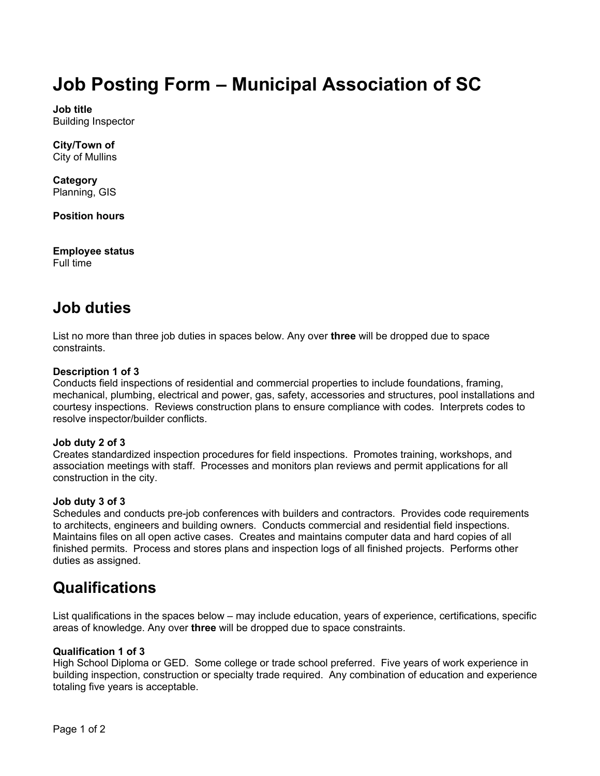# **Job Posting Form – Municipal Association of SC**

**Job title** Building Inspector

**City/Town of** City of Mullins

**Category** Planning, GIS

**Position hours**

**Employee status** Full time

# **Job duties**

List no more than three job duties in spaces below. Any over **three** will be dropped due to space constraints.

#### **Description 1 of 3**

Conducts field inspections of residential and commercial properties to include foundations, framing, mechanical, plumbing, electrical and power, gas, safety, accessories and structures, pool installations and courtesy inspections. Reviews construction plans to ensure compliance with codes. Interprets codes to resolve inspector/builder conflicts.

#### **Job duty 2 of 3**

Creates standardized inspection procedures for field inspections. Promotes training, workshops, and association meetings with staff. Processes and monitors plan reviews and permit applications for all construction in the city.

#### **Job duty 3 of 3**

Schedules and conducts pre-job conferences with builders and contractors. Provides code requirements to architects, engineers and building owners. Conducts commercial and residential field inspections. Maintains files on all open active cases. Creates and maintains computer data and hard copies of all finished permits. Process and stores plans and inspection logs of all finished projects. Performs other duties as assigned.

## **Qualifications**

List qualifications in the spaces below – may include education, years of experience, certifications, specific areas of knowledge. Any over **three** will be dropped due to space constraints.

#### **Qualification 1 of 3**

High School Diploma or GED. Some college or trade school preferred. Five years of work experience in building inspection, construction or specialty trade required. Any combination of education and experience totaling five years is acceptable.